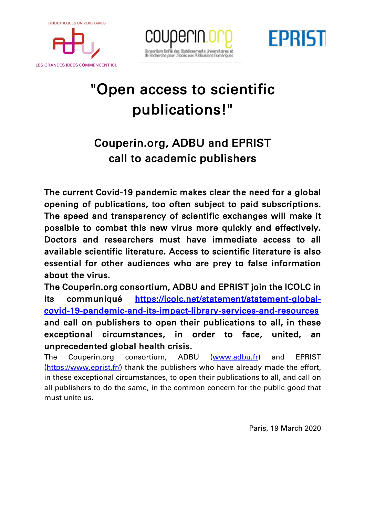**BIBLIOTHÈQUES UNIVERSITAIRES** 



LES GRANDES IDÉES COMMENCENT ICI.





## "Open access to scientific publications!"

## Couperin.org, ADBU and EPRIST call to academic publishers

The current Covid-19 pandemic makes clear the need for a global opening of publications, too often subject to paid subscriptions. The speed and transparency of scientific exchanges will make it possible to combat this new virus more quickly and effectively. Doctors and researchers must have immediate access to all available scientific literature. Access to scientific literature is also essential for other audiences who are prey to false information about the virus.

The Couperin.org consortium, ADBU and EPRIST join the ICOLC in its communiqué https://icolc.net/statement/statement-globalcovid-19-pandemic-and-its-impact-library-services-and-resources and call on publishers to open their publications to all, in these exceptional circumstances, in order to face, united, an unprecedented global health crisis.

The Couperin.org consortium, ADBU (www.adbu.fr) and EPRIST (https://www.eprist.fr/) thank the publishers who have already made the effort, in these exceptional circumstances, to open their publications to all, and call on all publishers to do the same, in the common concern for the public good that must unite us.

Paris, 19 March 2020